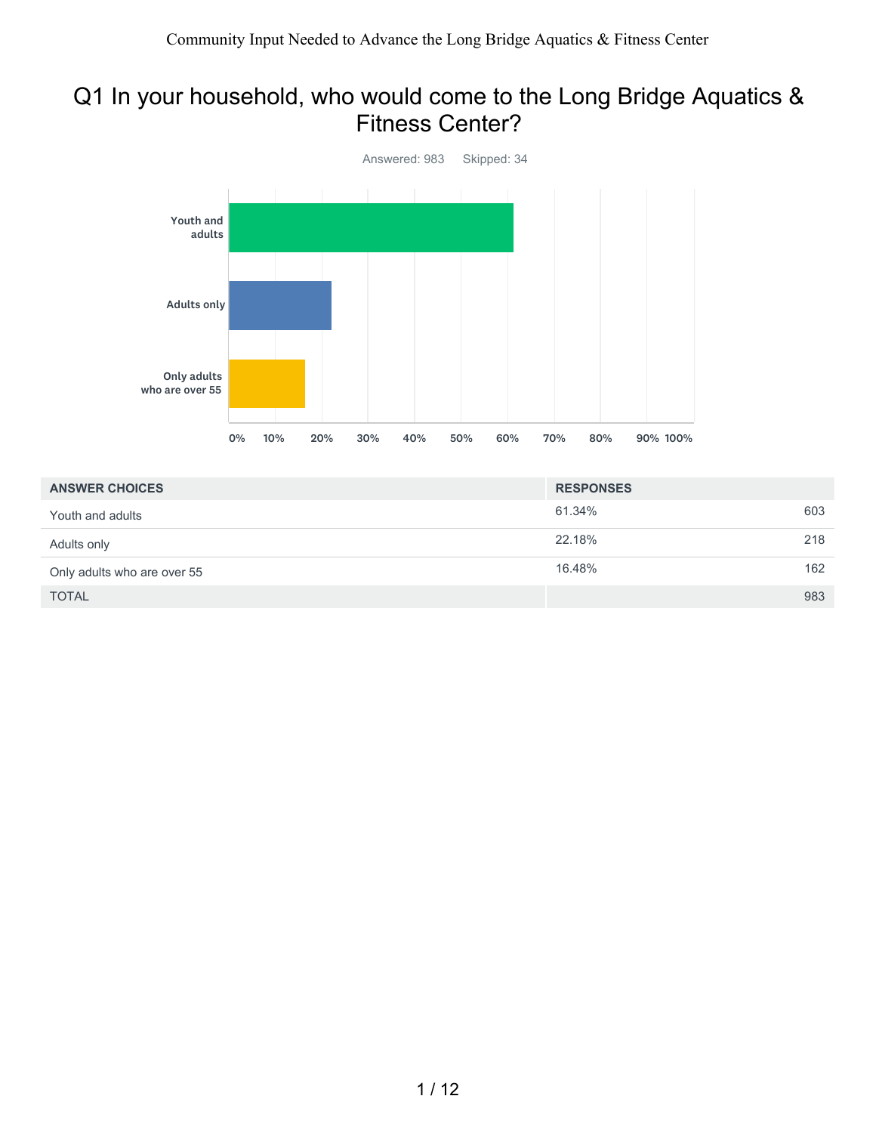## Q1 In your household, who would come to the Long Bridge Aquatics & Fitness Center?



| <b>ANSWER CHOICES</b>       | <b>RESPONSES</b> |     |
|-----------------------------|------------------|-----|
| Youth and adults            | 61.34%           | 603 |
| Adults only                 | 22.18%           | 218 |
| Only adults who are over 55 | 16.48%           | 162 |
| <b>TOTAL</b>                |                  | 983 |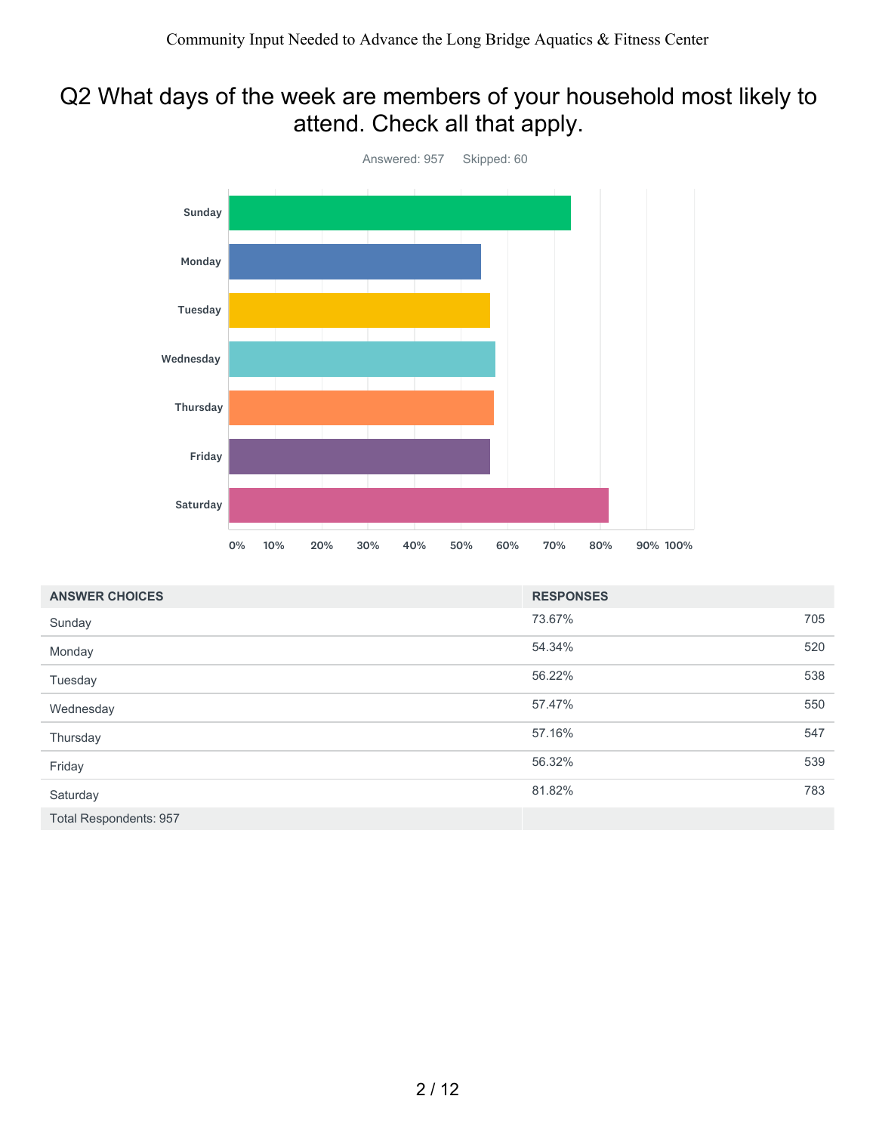# Q2 What days of the week are members of your household most likely to attend. Check all that apply.



| <b>ANSWER CHOICES</b>  | <b>RESPONSES</b> |     |
|------------------------|------------------|-----|
| Sunday                 | 73.67%           | 705 |
| Monday                 | 54.34%           | 520 |
| Tuesday                | 56.22%           | 538 |
| Wednesday              | 57.47%           | 550 |
| Thursday               | 57.16%           | 547 |
| Friday                 | 56.32%           | 539 |
| Saturday               | 81.82%           | 783 |
| Total Respondents: 957 |                  |     |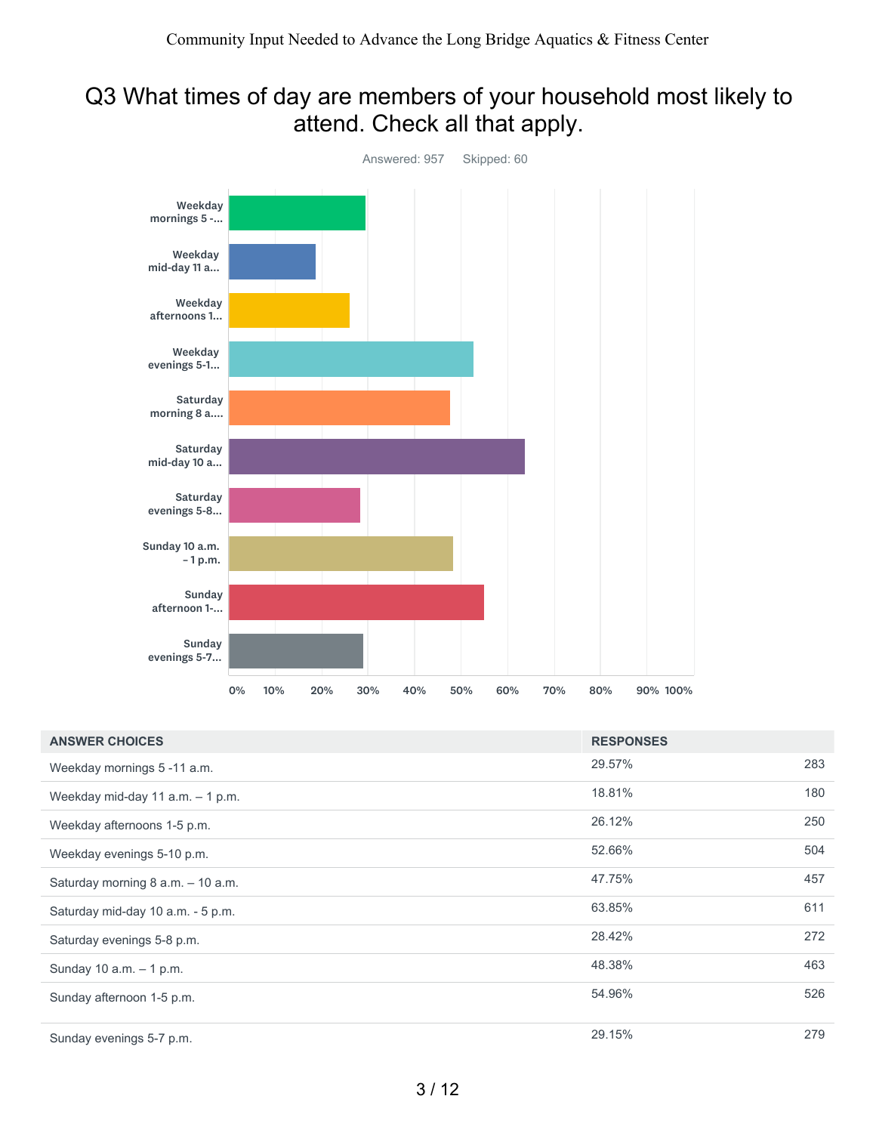## Q3 What times of day are members of your household most likely to attend. Check all that apply.



| <b>ANSWER CHOICES</b>             | <b>RESPONSES</b> |     |
|-----------------------------------|------------------|-----|
| Weekday mornings 5-11 a.m.        | 29.57%           | 283 |
| Weekday mid-day 11 a.m. - 1 p.m.  | 18.81%           | 180 |
| Weekday afternoons 1-5 p.m.       | 26.12%           | 250 |
| Weekday evenings 5-10 p.m.        | 52.66%           | 504 |
| Saturday morning 8 a.m. - 10 a.m. | 47.75%           | 457 |
| Saturday mid-day 10 a.m. - 5 p.m. | 63.85%           | 611 |
| Saturday evenings 5-8 p.m.        | 28.42%           | 272 |
| Sunday 10 a.m. - 1 p.m.           | 48.38%           | 463 |
| Sunday afternoon 1-5 p.m.         | 54.96%           | 526 |
| Sunday evenings 5-7 p.m.          | 29.15%           | 279 |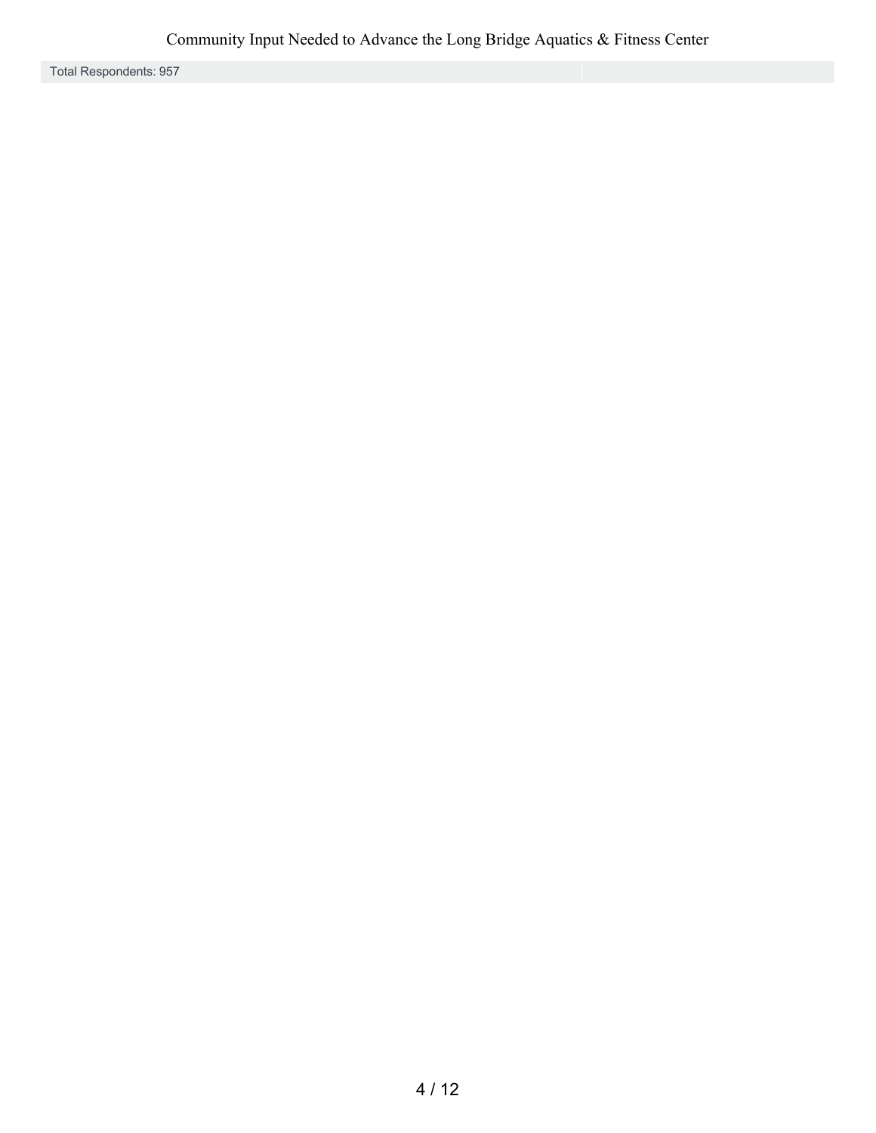Total Respondents: 957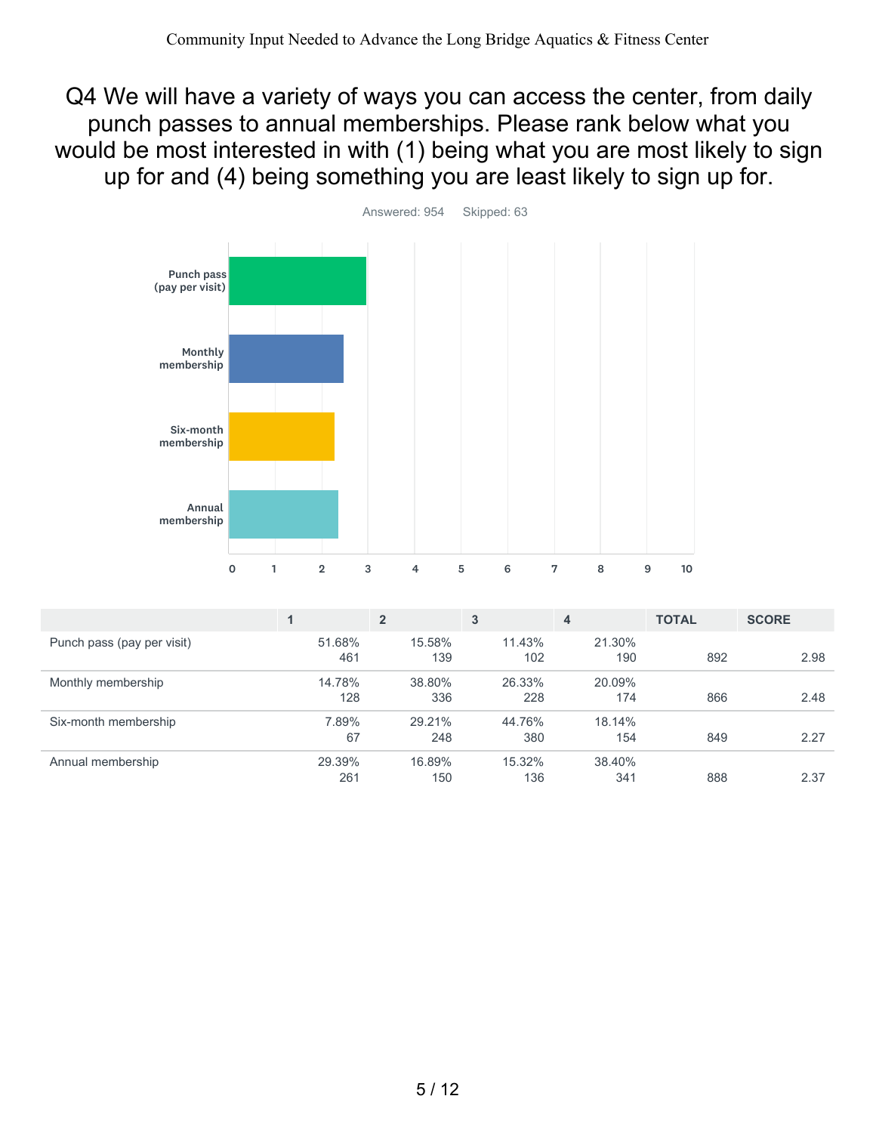Q4 We will have a variety of ways you can access the center, from daily punch passes to annual memberships. Please rank below what you would be most interested in with (1) being what you are most likely to sign up for and (4) being something you are least likely to sign up for.



|                            |               | $\overline{2}$ | 3             | 4             | <b>TOTAL</b> | <b>SCORE</b> |
|----------------------------|---------------|----------------|---------------|---------------|--------------|--------------|
| Punch pass (pay per visit) | 51.68%<br>461 | 15.58%<br>139  | 11.43%<br>102 | 21.30%<br>190 | 892          | 2.98         |
| Monthly membership         | 14.78%<br>128 | 38.80%<br>336  | 26.33%<br>228 | 20.09%<br>174 | 866          | 2.48         |
| Six-month membership       | 7.89%<br>67   | 29.21%<br>248  | 44.76%<br>380 | 18.14%<br>154 | 849          | 2.27         |
| Annual membership          | 29.39%<br>261 | 16.89%<br>150  | 15.32%<br>136 | 38.40%<br>341 | 888          | 2.37         |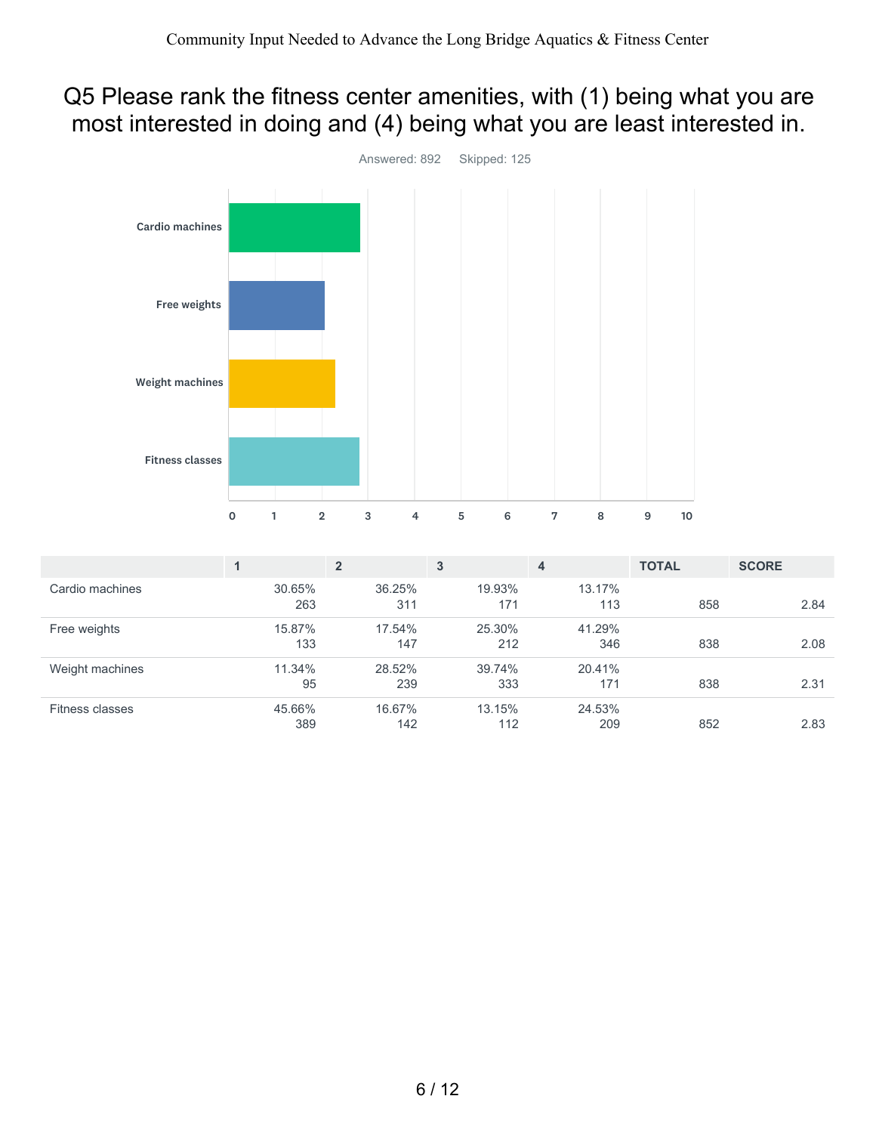## Q5 Please rank the fitness center amenities, with (1) being what you are most interested in doing and (4) being what you are least interested in.



|                 |               | $\overline{2}$ | 3             | $\overline{\mathbf{4}}$ | <b>TOTAL</b> | <b>SCORE</b> |
|-----------------|---------------|----------------|---------------|-------------------------|--------------|--------------|
| Cardio machines | 30.65%<br>263 | 36.25%<br>311  | 19.93%<br>171 | 13.17%<br>113           | 858          | 2.84         |
| Free weights    | 15.87%<br>133 | 17.54%<br>147  | 25.30%<br>212 | 41.29%<br>346           | 838          | 2.08         |
| Weight machines | 11.34%<br>95  | 28.52%<br>239  | 39.74%<br>333 | 20.41%<br>171           | 838          | 2.31         |
| Fitness classes | 45.66%<br>389 | 16.67%<br>142  | 13.15%<br>112 | 24.53%<br>209           | 852          | 2.83         |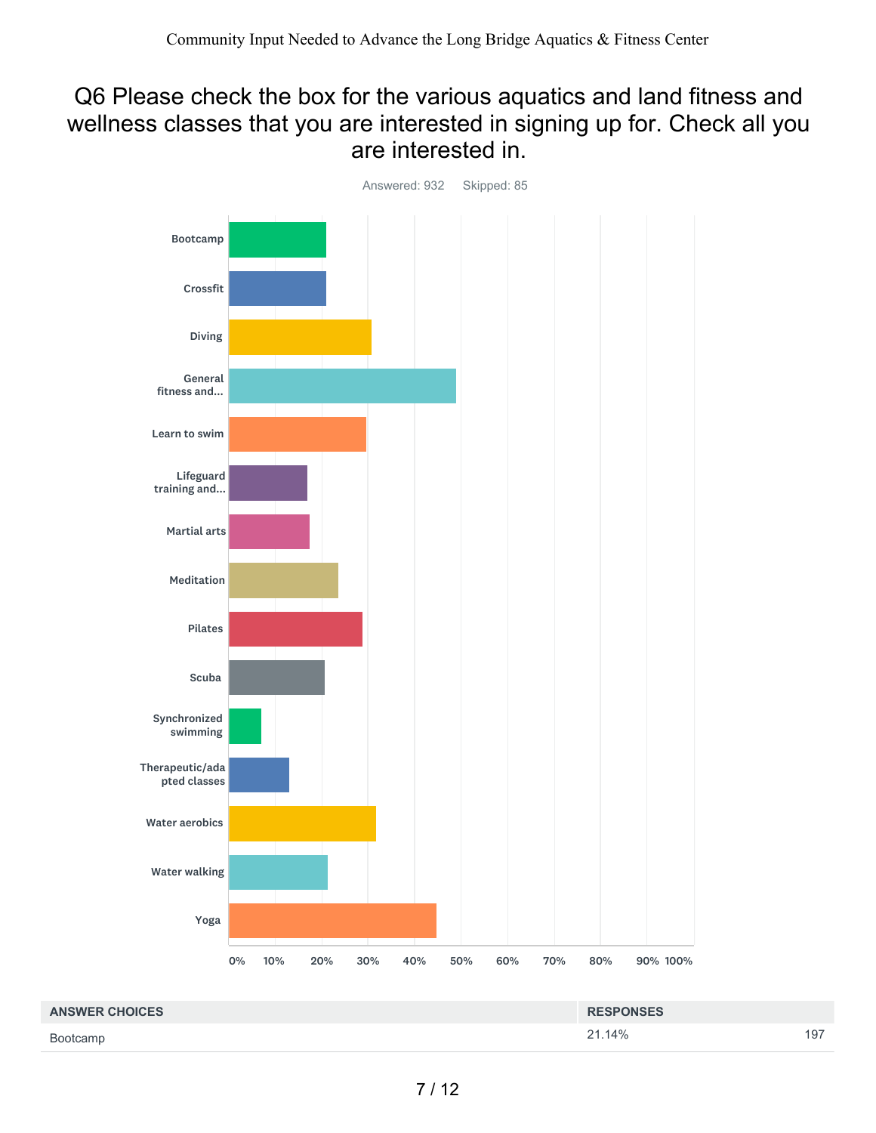### Q6 Please check the box for the various aquatics and land fitness and wellness classes that you are interested in signing up for. Check all you are interested in.



| <b>ANSWER CHOICES</b> | <b>RESPONSES</b> |     |
|-----------------------|------------------|-----|
| Bootcamp              | 21.14%           | 197 |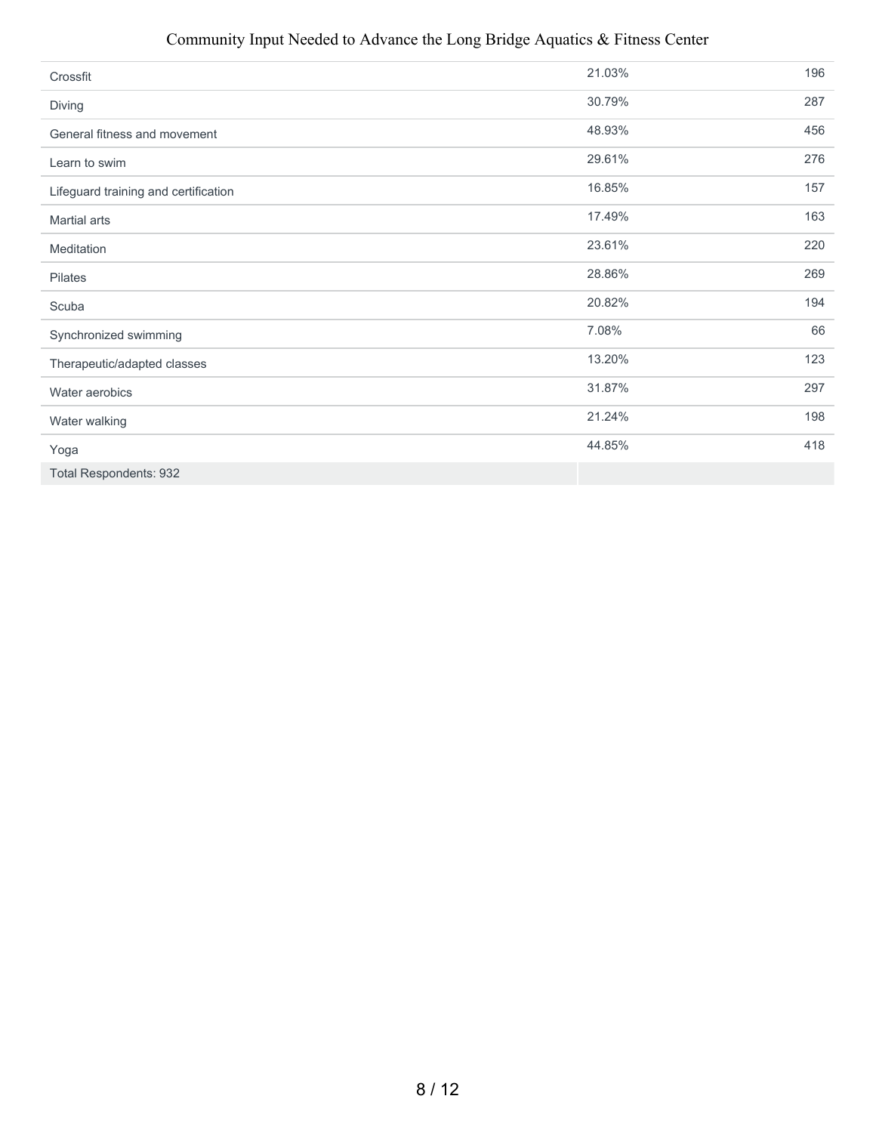#### Community Input Needed to Advance the Long Bridge Aquatics & Fitness Center

| Crossfit                             | 21.03% | 196 |
|--------------------------------------|--------|-----|
| Diving                               | 30.79% | 287 |
| General fitness and movement         | 48.93% | 456 |
| Learn to swim                        | 29.61% | 276 |
| Lifeguard training and certification | 16.85% | 157 |
| Martial arts                         | 17.49% | 163 |
| Meditation                           | 23.61% | 220 |
| Pilates                              | 28.86% | 269 |
| Scuba                                | 20.82% | 194 |
| Synchronized swimming                | 7.08%  | 66  |
| Therapeutic/adapted classes          | 13.20% | 123 |
| Water aerobics                       | 31.87% | 297 |
| Water walking                        | 21.24% | 198 |
| Yoga                                 | 44.85% | 418 |
| <b>Total Respondents: 932</b>        |        |     |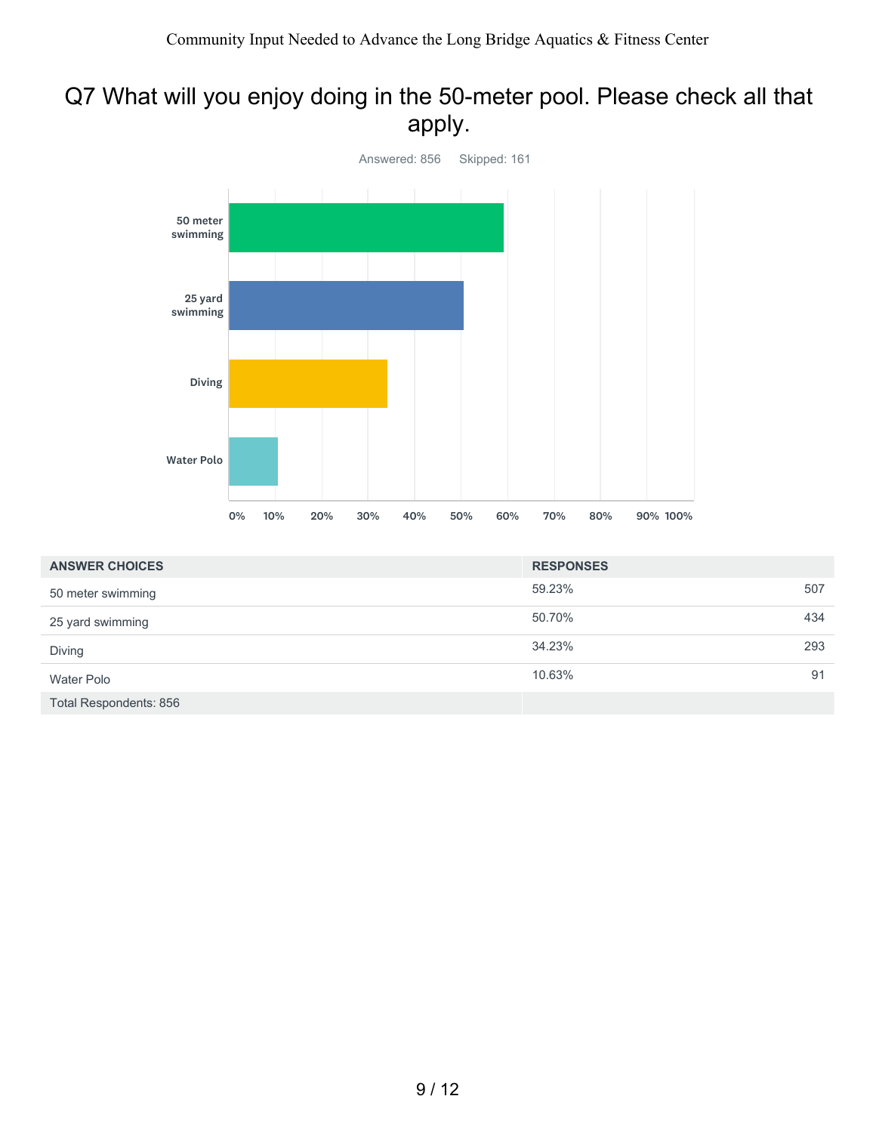# Q7 What will you enjoy doing in the 50-meter pool. Please check all that apply.



| <b>ANSWER CHOICES</b>         | <b>RESPONSES</b> |     |
|-------------------------------|------------------|-----|
| 50 meter swimming             | 59.23%           | 507 |
| 25 yard swimming              | 50.70%           | 434 |
| Diving                        | 34.23%           | 293 |
| Water Polo                    | 10.63%           | 91  |
| <b>Total Respondents: 856</b> |                  |     |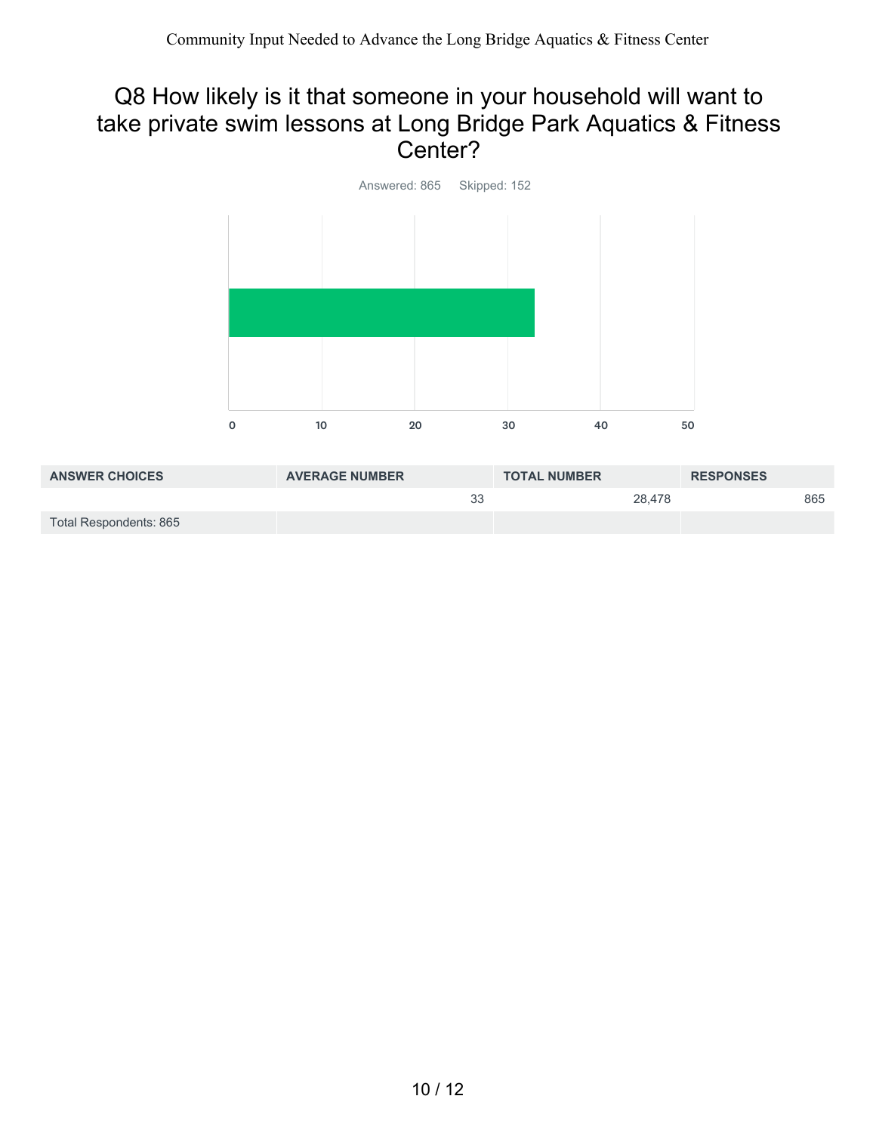## Q8 How likely is it that someone in your household will want to take private swim lessons at Long Bridge Park Aquatics & Fitness Center?



| <b>ANSWER CHOICES</b>  | <b>AVERAGE NUMBER</b> | <b>TOTAL NUMBER</b> | <b>RESPONSES</b> |
|------------------------|-----------------------|---------------------|------------------|
|                        | 33                    | 28.478              | 865              |
| Total Respondents: 865 |                       |                     |                  |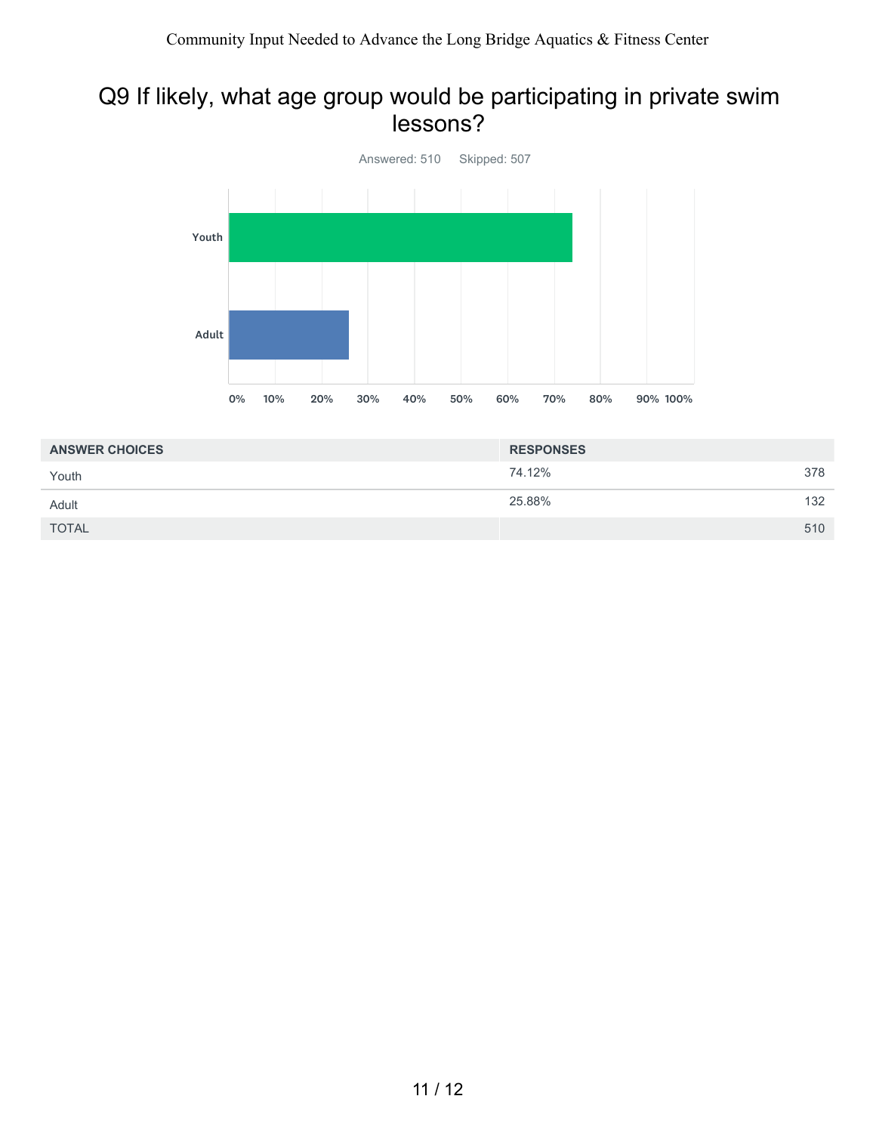### Q9 If likely, what age group would be participating in private swim lessons?



| <b>ANSWER CHOICES</b> | <b>RESPONSES</b> |     |
|-----------------------|------------------|-----|
| Youth                 | 74.12%           | 378 |
| Adult                 | 25.88%           | 132 |
| <b>TOTAL</b>          |                  | 510 |